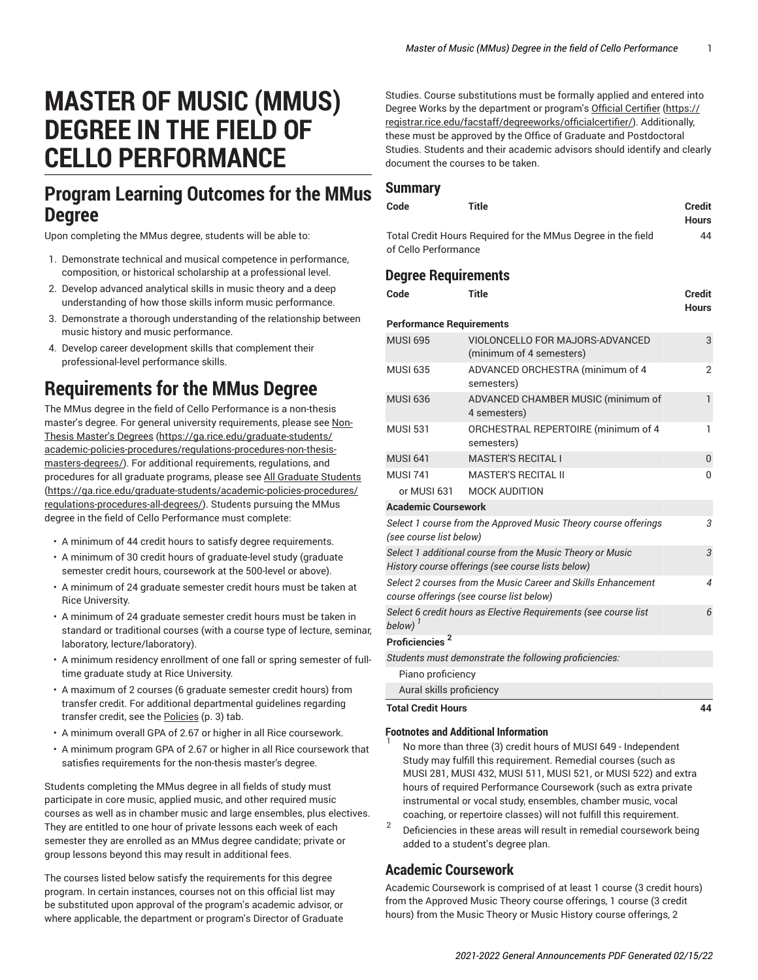# **MASTER OF MUSIC (MMUS) DEGREE IN THE FIELD OF CELLO PERFORMANCE**

## **Program Learning Outcomes for the MMus Degree**

Upon completing the MMus degree, students will be able to:

- 1. Demonstrate technical and musical competence in performance, composition, or historical scholarship at a professional level.
- 2. Develop advanced analytical skills in music theory and a deep understanding of how those skills inform music performance.
- 3. Demonstrate a thorough understanding of the relationship between music history and music performance.
- 4. Develop career development skills that complement their professional-level performance skills.

## **Requirements for the MMus Degree**

The MMus degree in the field of Cello Performance is a non-thesis master's degree. For general university requirements, please see [Non-](https://ga.rice.edu/graduate-students/academic-policies-procedures/regulations-procedures-non-thesis-masters-degrees/)Thesis [Master's](https://ga.rice.edu/graduate-students/academic-policies-procedures/regulations-procedures-non-thesis-masters-degrees/) Degrees ([https://ga.rice.edu/graduate-students/](https://ga.rice.edu/graduate-students/academic-policies-procedures/regulations-procedures-non-thesis-masters-degrees/) [academic-policies-procedures/regulations-procedures-non-thesis](https://ga.rice.edu/graduate-students/academic-policies-procedures/regulations-procedures-non-thesis-masters-degrees/)[masters-degrees/\)](https://ga.rice.edu/graduate-students/academic-policies-procedures/regulations-procedures-non-thesis-masters-degrees/). For additional requirements, regulations, and procedures for all graduate programs, please see [All Graduate Students](https://ga.rice.edu/graduate-students/academic-policies-procedures/regulations-procedures-all-degrees/) ([https://ga.rice.edu/graduate-students/academic-policies-procedures/](https://ga.rice.edu/graduate-students/academic-policies-procedures/regulations-procedures-all-degrees/) [regulations-procedures-all-degrees/\)](https://ga.rice.edu/graduate-students/academic-policies-procedures/regulations-procedures-all-degrees/). Students pursuing the MMus degree in the field of Cello Performance must complete:

- A minimum of 44 credit hours to satisfy degree requirements.
- A minimum of 30 credit hours of graduate-level study (graduate semester credit hours, coursework at the 500-level or above).
- A minimum of 24 graduate semester credit hours must be taken at Rice University.
- A minimum of 24 graduate semester credit hours must be taken in standard or traditional courses (with a course type of lecture, seminar, laboratory, lecture/laboratory).
- A minimum residency enrollment of one fall or spring semester of fulltime graduate study at Rice University.
- A maximum of 2 courses (6 graduate semester credit hours) from transfer credit. For additional departmental guidelines regarding transfer credit, see the [Policies \(p. 3](#page-2-0)) tab.
- A minimum overall GPA of 2.67 or higher in all Rice coursework.
- A minimum program GPA of 2.67 or higher in all Rice coursework that satisfies requirements for the non-thesis master's degree.

Students completing the MMus degree in all fields of study must participate in core music, applied music, and other required music courses as well as in chamber music and large ensembles, plus electives. They are entitled to one hour of private lessons each week of each semester they are enrolled as an MMus degree candidate; private or group lessons beyond this may result in additional fees.

The courses listed below satisfy the requirements for this degree program. In certain instances, courses not on this official list may be substituted upon approval of the program's academic advisor, or where applicable, the department or program's Director of Graduate

Studies. Course substitutions must be formally applied and entered into Degree Works by the department or program's Official [Certifier \(https://](https://registrar.rice.edu/facstaff/degreeworks/officialcertifier/) [registrar.rice.edu/facstaff/degreeworks/officialcertifier/](https://registrar.rice.edu/facstaff/degreeworks/officialcertifier/)). Additionally, these must be approved by the Office of Graduate and Postdoctoral Studies. Students and their academic advisors should identify and clearly document the courses to be taken.

### **Summary**

| Code                 | Title                                                        | Credit<br><b>Hours</b> |
|----------------------|--------------------------------------------------------------|------------------------|
|                      |                                                              |                        |
|                      | Total Credit Hours Required for the MMus Degree in the field | 44                     |
| of Cello Performance |                                                              |                        |

## **Degree Requirements**

| Code                                                                                                           | <b>Title</b>                                                | <b>Credit</b><br><b>Hours</b> |  |
|----------------------------------------------------------------------------------------------------------------|-------------------------------------------------------------|-------------------------------|--|
| <b>Performance Requirements</b>                                                                                |                                                             |                               |  |
| <b>MUSI 695</b>                                                                                                | VIOLONCELLO FOR MAJORS-ADVANCED<br>(minimum of 4 semesters) | 3                             |  |
| <b>MUSI 635</b>                                                                                                | ADVANCED ORCHESTRA (minimum of 4<br>semesters)              | $\overline{2}$                |  |
| <b>MUSI 636</b>                                                                                                | ADVANCED CHAMBER MUSIC (minimum of<br>4 semesters)          | $\mathbf{1}$                  |  |
| <b>MUSI 531</b>                                                                                                | ORCHESTRAL REPERTOIRE (minimum of 4<br>semesters)           | 1                             |  |
| <b>MUSI 641</b>                                                                                                | <b>MASTER'S RECITAL I</b>                                   | $\overline{0}$                |  |
| <b>MUSI 741</b>                                                                                                | <b>MASTER'S RECITAL II</b>                                  | 0                             |  |
|                                                                                                                | or MUSI 631 MOCK AUDITION                                   |                               |  |
| <b>Academic Coursework</b>                                                                                     |                                                             |                               |  |
| Select 1 course from the Approved Music Theory course offerings<br>(see course list below)                     |                                                             |                               |  |
| Select 1 additional course from the Music Theory or Music<br>History course offerings (see course lists below) |                                                             |                               |  |
| Select 2 courses from the Music Career and Skills Enhancement<br>course offerings (see course list below)      |                                                             |                               |  |
| Select 6 credit hours as Elective Requirements (see course list<br>below)                                      |                                                             |                               |  |
| Proficiencies <sup>2</sup>                                                                                     |                                                             |                               |  |
|                                                                                                                | Students must demonstrate the following proficiencies:      |                               |  |
| Piano proficiency                                                                                              |                                                             |                               |  |
| Aural skills proficiency                                                                                       |                                                             |                               |  |
| <b>Total Credit Hours</b>                                                                                      |                                                             | 44                            |  |

#### **Footnotes and Additional Information** 1

- No more than three (3) credit hours of MUSI 649 Independent Study may fulfill this requirement. Remedial courses (such as MUSI 281, MUSI 432, MUSI 511, MUSI 521, or MUSI 522) and extra hours of required Performance Coursework (such as extra private instrumental or vocal study, ensembles, chamber music, vocal coaching, or repertoire classes) will not fulfill this requirement.
- 2 Deficiencies in these areas will result in remedial coursework being added to a student's degree plan.

## **Academic Coursework**

Academic Coursework is comprised of at least 1 course (3 credit hours) from the Approved Music Theory course offerings, 1 course (3 credit hours) from the Music Theory or Music History course offerings, 2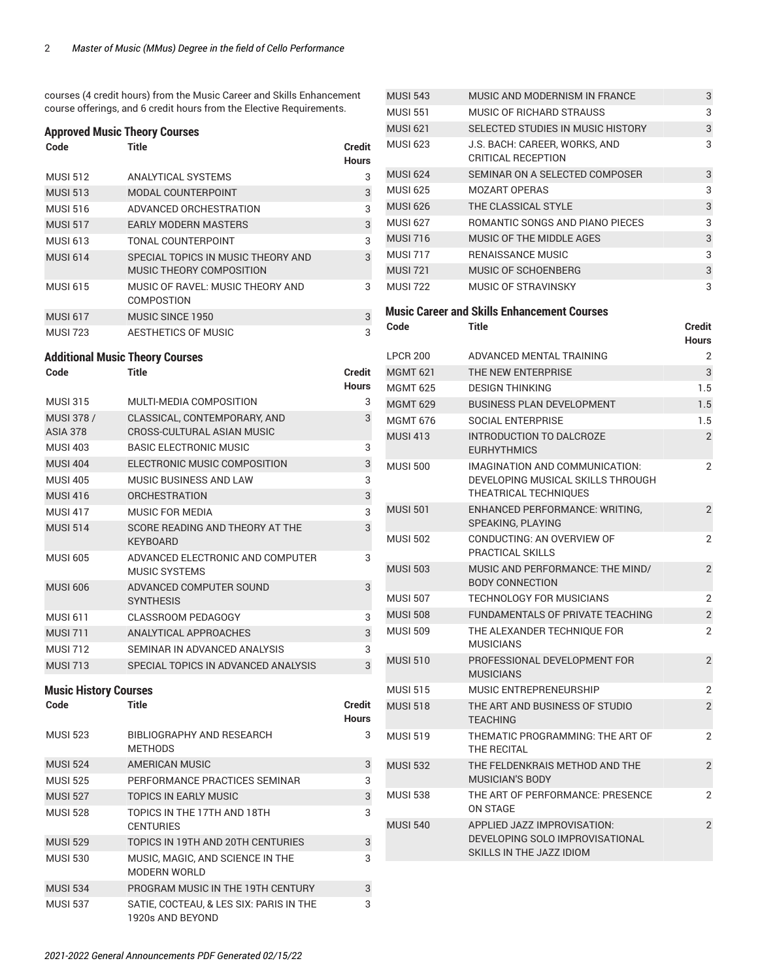courses (4 credit hours) from the Music Career and Skills Enhancement course offerings, and 6 credit hours from the Elective Requirements.

#### **Approved Music Theory Courses**

| Code                                 | Title                                                          | Credit<br>Hours |
|--------------------------------------|----------------------------------------------------------------|-----------------|
| <b>MUSI 512</b>                      | <b>ANALYTICAL SYSTEMS</b>                                      | 3               |
| <b>MUSI 513</b>                      | <b>MODAL COUNTERPOINT</b>                                      | 3               |
| <b>MUSI 516</b>                      | ADVANCED ORCHESTRATION                                         | 3               |
| <b>MUSI 517</b>                      | <b>EARLY MODERN MASTERS</b>                                    | 3               |
| <b>MUSI 613</b>                      | TONAL COUNTERPOINT                                             | 3               |
| <b>MUSI 614</b>                      | SPECIAL TOPICS IN MUSIC THEORY AND<br>MUSIC THEORY COMPOSITION | 3               |
| <b>MUSI 615</b>                      | MUSIC OF RAVEL: MUSIC THEORY AND<br><b>COMPOSTION</b>          | 3               |
| <b>MUSI 617</b>                      | MUSIC SINCE 1950                                               | 3               |
| <b>MUSI 723</b>                      | <b>AESTHETICS OF MUSIC</b>                                     | 3               |
|                                      | <b>Additional Music Theory Courses</b>                         |                 |
| Code                                 | <b>Title</b>                                                   | Credit<br>Hours |
| <b>MUSI 315</b>                      | MULTI-MEDIA COMPOSITION                                        | 3               |
| MUSI 378 /<br><b>ASIA 378</b>        | CLASSICAL, CONTEMPORARY, AND<br>CROSS-CULTURAL ASIAN MUSIC     | 3               |
| <b>MUSI 403</b>                      | <b>BASIC ELECTRONIC MUSIC</b>                                  | 3               |
| <b>MUSI 404</b>                      | ELECTRONIC MUSIC COMPOSITION                                   | 3               |
| <b>MUSI 405</b>                      | <b>MUSIC BUSINESS AND LAW</b>                                  | 3               |
| <b>MUSI 416</b>                      | <b>ORCHESTRATION</b>                                           | 3               |
| <b>MUSI 417</b>                      | MUSIC FOR MEDIA                                                | 3               |
| <b>MUSI 514</b>                      | SCORE READING AND THEORY AT THE<br><b>KEYBOARD</b>             | 3               |
| <b>MUSI 605</b>                      | ADVANCED ELECTRONIC AND COMPUTER<br><b>MUSIC SYSTEMS</b>       | 3               |
| <b>MUSI 606</b>                      | ADVANCED COMPUTER SOUND<br><b>SYNTHESIS</b>                    | 3               |
| <b>MUSI 611</b>                      | <b>CLASSROOM PEDAGOGY</b>                                      | 3               |
| <b>MUSI 711</b>                      | <b>ANALYTICAL APPROACHES</b>                                   | 3               |
| <b>MUSI 712</b>                      | SEMINAR IN ADVANCED ANALYSIS                                   | 3               |
| <b>MUSI 713</b>                      | SPECIAL TOPICS IN ADVANCED ANALYSIS                            | 3               |
| <b>Music History Courses</b><br>Code | Title                                                          | Credit<br>Hours |
| <b>MUSI 523</b>                      | BIBLIOGRAPHY AND RESEARCH<br><b>METHODS</b>                    | 3               |
| <b>MUSI 524</b>                      | <b>AMERICAN MUSIC</b>                                          | 3               |
| <b>MUSI 525</b>                      | PERFORMANCE PRACTICES SEMINAR                                  | 3               |
| <b>MUSI 527</b>                      | <b>TOPICS IN EARLY MUSIC</b>                                   | 3               |
| <b>MUSI 528</b>                      | TOPICS IN THE 17TH AND 18TH<br><b>CENTURIES</b>                | 3               |
| <b>MUSI 529</b>                      | TOPICS IN 19TH AND 20TH CENTURIES                              | 3               |
| <b>MUSI 530</b>                      | MUSIC, MAGIC, AND SCIENCE IN THE<br><b>MODERN WORLD</b>        | 3               |
| <b>MUSI 534</b>                      | PROGRAM MUSIC IN THE 19TH CENTURY                              | 3               |
| <b>MUSI 537</b>                      | SATIE, COCTEAU, & LES SIX: PARIS IN THE<br>1920s AND BEYOND    | 3               |

| <b>MUSI 543</b> | MUSIC AND MODERNISM IN FRANCE                                                                | 3                      |
|-----------------|----------------------------------------------------------------------------------------------|------------------------|
| <b>MUSI 551</b> | MUSIC OF RICHARD STRAUSS                                                                     | 3                      |
| <b>MUSI 621</b> | SELECTED STUDIES IN MUSIC HISTORY                                                            | 3                      |
| <b>MUSI 623</b> | J.S. BACH: CAREER, WORKS, AND<br>CRITICAL RECEPTION                                          | 3                      |
| <b>MUSI 624</b> | SEMINAR ON A SELECTED COMPOSER                                                               | 3                      |
| <b>MUSI 625</b> | <b>MOZART OPERAS</b>                                                                         | 3                      |
| <b>MUSI 626</b> | THE CLASSICAL STYLE                                                                          | 3                      |
| <b>MUSI 627</b> | ROMANTIC SONGS AND PIANO PIECES                                                              | 3                      |
| <b>MUSI 716</b> | MUSIC OF THE MIDDLE AGES                                                                     | 3                      |
| <b>MUSI 717</b> | <b>RENAISSANCE MUSIC</b>                                                                     | 3                      |
| <b>MUSI 721</b> | MUSIC OF SCHOENBERG                                                                          | 3                      |
| <b>MUSI 722</b> | MUSIC OF STRAVINSKY                                                                          | 3                      |
|                 | <b>Music Career and Skills Enhancement Courses</b>                                           |                        |
| Code            | Title                                                                                        | Credit<br><b>Hours</b> |
| <b>LPCR 200</b> | ADVANCED MENTAL TRAINING                                                                     | 2                      |
| <b>MGMT 621</b> | THE NEW ENTERPRISE                                                                           | 3                      |
| <b>MGMT 625</b> | <b>DESIGN THINKING</b>                                                                       | 1.5                    |
| <b>MGMT 629</b> | <b>BUSINESS PLAN DEVELOPMENT</b>                                                             | 1.5                    |
| <b>MGMT 676</b> | SOCIAL ENTERPRISE                                                                            | 1.5                    |
| <b>MUSI 413</b> | INTRODUCTION TO DALCROZE<br><b>EURHYTHMICS</b>                                               | $\overline{2}$         |
| <b>MUSI 500</b> | IMAGINATION AND COMMUNICATION:<br>DEVELOPING MUSICAL SKILLS THROUGH<br>THEATRICAL TECHNIQUES | 2                      |
| <b>MUSI 501</b> | <b>ENHANCED PERFORMANCE: WRITING,</b><br>SPEAKING, PLAYING                                   | $\overline{2}$         |
| <b>MUSI 502</b> | CONDUCTING: AN OVERVIEW OF<br><b>PRACTICAL SKILLS</b>                                        | 2                      |
| <b>MUSI 503</b> | MUSIC AND PERFORMANCE: THE MIND/<br><b>BODY CONNECTION</b>                                   | $\overline{2}$         |
| <b>MUSI 507</b> | <b>TECHNOLOGY FOR MUSICIANS</b>                                                              | 2                      |
| <b>MUSI 508</b> | FUNDAMENTALS OF PRIVATE TEACHING                                                             | 2                      |
| <b>MUSI 509</b> | THE ALEXANDER TECHNIQUE FOR<br><b>MUSICIANS</b>                                              | 2                      |
| <b>MUSI 510</b> | PROFESSIONAL DEVELOPMENT FOR<br><b>MUSICIANS</b>                                             | $\overline{2}$         |
| <b>MUSI 515</b> | MUSIC ENTREPRENEURSHIP                                                                       | 2                      |
| <b>MUSI 518</b> | THE ART AND BUSINESS OF STUDIO<br><b>TEACHING</b>                                            | $\overline{2}$         |
| <b>MUSI 519</b> | THEMATIC PROGRAMMING: THE ART OF<br>THE RECITAL                                              | 2                      |
| <b>MUSI 532</b> | THE FELDENKRAIS METHOD AND THE<br><b>MUSICIAN'S BODY</b>                                     | $\overline{2}$         |
| <b>MUSI 538</b> | THE ART OF PERFORMANCE: PRESENCE<br>ON STAGE                                                 | 2                      |
| <b>MUSI 540</b> | APPLIED JAZZ IMPROVISATION:<br>DEVELOPING SOLO IMPROVISATIONAL<br>SKILLS IN THE JAZZ IDIOM   | $\overline{2}$         |
|                 |                                                                                              |                        |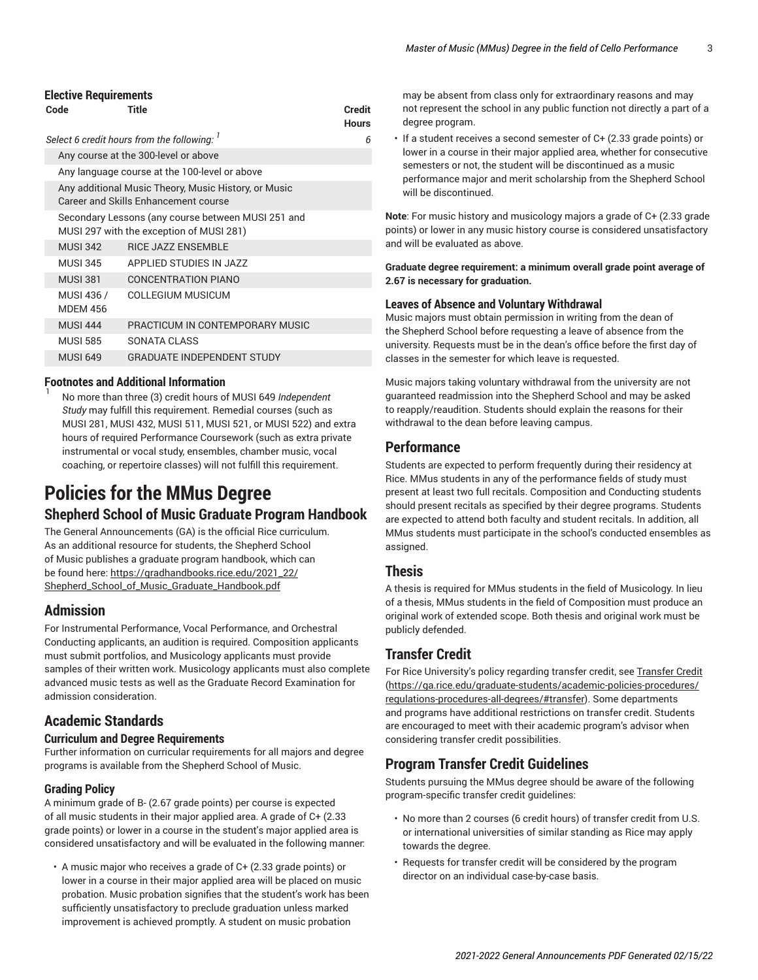#### **Elective Requirements**

| Code                          | Title                                                                                          | <b>Credit</b><br><b>Hours</b> |  |  |  |  |
|-------------------------------|------------------------------------------------------------------------------------------------|-------------------------------|--|--|--|--|
|                               | Select 6 credit hours from the following:                                                      | 6                             |  |  |  |  |
|                               | Any course at the 300-level or above                                                           |                               |  |  |  |  |
|                               | Any language course at the 100-level or above                                                  |                               |  |  |  |  |
|                               | Any additional Music Theory, Music History, or Music<br>Career and Skills Enhancement course   |                               |  |  |  |  |
|                               | Secondary Lessons (any course between MUSI 251 and<br>MUSI 297 with the exception of MUSI 281) |                               |  |  |  |  |
| <b>MUSI 342</b>               | <b>RICE JAZZ ENSEMBLE</b>                                                                      |                               |  |  |  |  |
| <b>MUSI 345</b>               | APPLIED STUDIES IN JAZZ                                                                        |                               |  |  |  |  |
| <b>MUSI 381</b>               | <b>CONCENTRATION PIANO</b>                                                                     |                               |  |  |  |  |
| MUSI 436 /<br><b>MDEM 456</b> | COLLEGIUM MUSICUM                                                                              |                               |  |  |  |  |
| <b>MUSI 444</b>               | PRACTICUM IN CONTEMPORARY MUSIC                                                                |                               |  |  |  |  |
| <b>MUSI 585</b>               | SONATA CLASS                                                                                   |                               |  |  |  |  |
| <b>MUSI 649</b>               | <b>GRADUATE INDEPENDENT STUDY</b>                                                              |                               |  |  |  |  |
|                               |                                                                                                |                               |  |  |  |  |

#### **Footnotes and Additional Information** 1

No more than three (3) credit hours of MUSI 649 *Independent Study* may fulfill this requirement. Remedial courses (such as MUSI 281, MUSI 432, MUSI 511, MUSI 521, or MUSI 522) and extra hours of required Performance Coursework (such as extra private instrumental or vocal study, ensembles, chamber music, vocal coaching, or repertoire classes) will not fulfill this requirement.

## <span id="page-2-0"></span>**Policies for the MMus Degree Shepherd School of Music Graduate Program Handbook**

The General Announcements (GA) is the official Rice curriculum. As an additional resource for students, the Shepherd School of Music publishes a graduate program handbook, which can be found here: [https://gradhandbooks.rice.edu/2021\\_22/](https://gradhandbooks.rice.edu/2021_22/Shepherd_School_of_Music_Graduate_Handbook.pdf) [Shepherd\\_School\\_of\\_Music\\_Graduate\\_Handbook.pdf](https://gradhandbooks.rice.edu/2021_22/Shepherd_School_of_Music_Graduate_Handbook.pdf)

## **Admission**

For Instrumental Performance, Vocal Performance, and Orchestral Conducting applicants, an audition is required. Composition applicants must submit portfolios, and Musicology applicants must provide samples of their written work. Musicology applicants must also complete advanced music tests as well as the Graduate Record Examination for admission consideration.

## **Academic Standards**

#### **Curriculum and Degree Requirements**

Further information on curricular requirements for all majors and degree programs is available from the Shepherd School of Music.

#### **Grading Policy**

A minimum grade of B- (2.67 grade points) per course is expected of all music students in their major applied area. A grade of C+ (2.33 grade points) or lower in a course in the student's major applied area is considered unsatisfactory and will be evaluated in the following manner:

• A music major who receives a grade of C+ (2.33 grade points) or lower in a course in their major applied area will be placed on music probation. Music probation signifies that the student's work has been sufficiently unsatisfactory to preclude graduation unless marked improvement is achieved promptly. A student on music probation

may be absent from class only for extraordinary reasons and may not represent the school in any public function not directly a part of a degree program.

• If a student receives a second semester of C+ (2.33 grade points) or lower in a course in their major applied area, whether for consecutive semesters or not, the student will be discontinued as a music performance major and merit scholarship from the Shepherd School will be discontinued.

**Note**: For music history and musicology majors a grade of C+ (2.33 grade points) or lower in any music history course is considered unsatisfactory and will be evaluated as above.

**Graduate degree requirement: a minimum overall grade point average of 2.67 is necessary for graduation.**

#### **Leaves of Absence and Voluntary Withdrawal**

Music majors must obtain permission in writing from the dean of the Shepherd School before requesting a leave of absence from the university. Requests must be in the dean's office before the first day of classes in the semester for which leave is requested.

Music majors taking voluntary withdrawal from the university are not guaranteed readmission into the Shepherd School and may be asked to reapply/reaudition. Students should explain the reasons for their withdrawal to the dean before leaving campus.

### **Performance**

Students are expected to perform frequently during their residency at Rice. MMus students in any of the performance fields of study must present at least two full recitals. Composition and Conducting students should present recitals as specified by their degree programs. Students are expected to attend both faculty and student recitals. In addition, all MMus students must participate in the school's conducted ensembles as assigned.

### **Thesis**

A thesis is required for MMus students in the field of Musicology. In lieu of a thesis, MMus students in the field of Composition must produce an original work of extended scope. Both thesis and original work must be publicly defended.

## **Transfer Credit**

For Rice University's policy regarding transfer credit, see [Transfer](https://ga.rice.edu/graduate-students/academic-policies-procedures/regulations-procedures-all-degrees/#transfer) Credit [\(https://ga.rice.edu/graduate-students/academic-policies-procedures/](https://ga.rice.edu/graduate-students/academic-policies-procedures/regulations-procedures-all-degrees/#transfer) [regulations-procedures-all-degrees/#transfer](https://ga.rice.edu/graduate-students/academic-policies-procedures/regulations-procedures-all-degrees/#transfer)). Some departments and programs have additional restrictions on transfer credit. Students are encouraged to meet with their academic program's advisor when considering transfer credit possibilities.

## **Program Transfer Credit Guidelines**

Students pursuing the MMus degree should be aware of the following program-specific transfer credit guidelines:

- No more than 2 courses (6 credit hours) of transfer credit from U.S. or international universities of similar standing as Rice may apply towards the degree.
- Requests for transfer credit will be considered by the program director on an individual case-by-case basis.